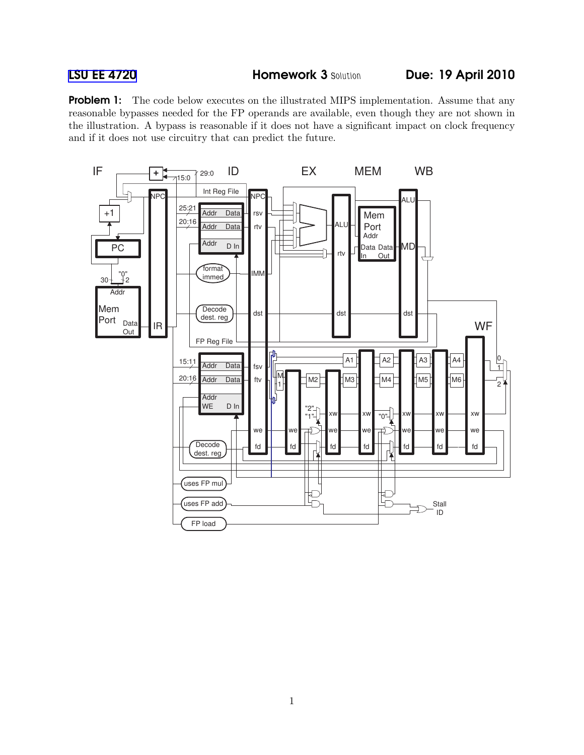**Problem 1:** The code below executes on the illustrated MIPS implementation. Assume that any reasonable bypasses needed for the FP operands are available, even though they are not shown in the illustration. A bypass is reasonable if it does not have a significant impact on clock frequency and if it does not use circuitry that can predict the future.

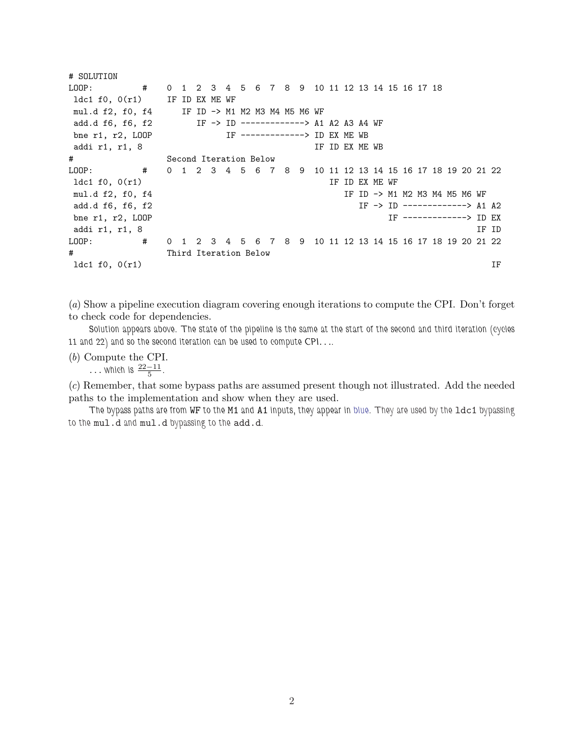| # SOLUTION                                                                                                                                                                                                                                                                                                                               |   |                        |                       |  |                                                |  |  |                |  |  |                                                            |  |       |    |
|------------------------------------------------------------------------------------------------------------------------------------------------------------------------------------------------------------------------------------------------------------------------------------------------------------------------------------------|---|------------------------|-----------------------|--|------------------------------------------------|--|--|----------------|--|--|------------------------------------------------------------|--|-------|----|
| LOOP:                                                                                                                                                                                                                                                                                                                                    | # |                        |                       |  | 0 1 2 3 4 5 6 7 8 9 10 11 12 13 14 15 16 17 18 |  |  |                |  |  |                                                            |  |       |    |
| $1dc1 f0, O(r1)$ IF ID EX ME WF                                                                                                                                                                                                                                                                                                          |   |                        |                       |  |                                                |  |  |                |  |  |                                                            |  |       |    |
| mul.d f2, f0, f4 IF ID -> M1 M2 M3 M4 M5 M6 WF                                                                                                                                                                                                                                                                                           |   |                        |                       |  |                                                |  |  |                |  |  |                                                            |  |       |    |
| add.d f6, f6, f2                                                                                                                                                                                                                                                                                                                         |   |                        |                       |  | IF -> ID -------------> A1 A2 A3 A4 WF         |  |  |                |  |  |                                                            |  |       |    |
| bne $r1, r2, L00P$                                                                                                                                                                                                                                                                                                                       |   |                        |                       |  | IF -------------> ID EX ME WB                  |  |  |                |  |  |                                                            |  |       |    |
| addi r1, r1, 8                                                                                                                                                                                                                                                                                                                           |   |                        |                       |  |                                                |  |  | IF ID EX ME WB |  |  |                                                            |  |       |    |
| #                                                                                                                                                                                                                                                                                                                                        |   | Second Iteration Below |                       |  |                                                |  |  |                |  |  |                                                            |  |       |    |
| $\frac{1}{2}$ $\frac{1}{2}$ $\frac{1}{2}$ $\frac{1}{2}$ $\frac{1}{2}$ $\frac{1}{2}$ $\frac{1}{2}$ $\frac{1}{2}$ $\frac{1}{2}$ $\frac{1}{2}$ $\frac{1}{2}$ $\frac{1}{2}$ $\frac{1}{2}$ $\frac{1}{2}$ $\frac{1}{2}$ $\frac{1}{2}$ $\frac{1}{2}$ $\frac{1}{2}$ $\frac{1}{2}$ $\frac{1}{2}$ $\frac{1}{2}$ $\frac{1}{2}$<br>$\texttt{LOOP}$ : |   |                        |                       |  |                                                |  |  |                |  |  | 0 1 2 3 4 5 6 7 8 9 10 11 12 13 14 15 16 17 18 19 20 21 22 |  |       |    |
| ldc1 f0, 0(r1)                                                                                                                                                                                                                                                                                                                           |   |                        |                       |  |                                                |  |  | IF ID EX ME WF |  |  |                                                            |  |       |    |
| mul.d f2, f0, f4                                                                                                                                                                                                                                                                                                                         |   |                        |                       |  |                                                |  |  |                |  |  | IF ID -> M1 M2 M3 M4 M5 M6 WF                              |  |       |    |
| add.d f6, f6, f2                                                                                                                                                                                                                                                                                                                         |   |                        |                       |  |                                                |  |  |                |  |  | $IF \rightarrow ID \$ -------------> A1 A2                 |  |       |    |
| bne $r1, r2, L00P$                                                                                                                                                                                                                                                                                                                       |   |                        |                       |  |                                                |  |  |                |  |  | IF --------------> ID EX                                   |  |       |    |
| addi r1, r1, 8                                                                                                                                                                                                                                                                                                                           |   |                        |                       |  |                                                |  |  |                |  |  |                                                            |  | IF ID |    |
| $\overline{1}$ $\overline{1}$<br>LOOP:                                                                                                                                                                                                                                                                                                   |   |                        |                       |  |                                                |  |  |                |  |  | 0 1 2 3 4 5 6 7 8 9 10 11 12 13 14 15 16 17 18 19 20 21 22 |  |       |    |
| #                                                                                                                                                                                                                                                                                                                                        |   |                        | Third Iteration Below |  |                                                |  |  |                |  |  |                                                            |  |       |    |
| 1dc1 $f0, 0(r1)$                                                                                                                                                                                                                                                                                                                         |   |                        |                       |  |                                                |  |  |                |  |  |                                                            |  |       | ΙF |

(a) Show a pipeline execution diagram covering enough iterations to compute the CPI. Don't forget to check code for dependencies.

Solution appears above. The state of the pipeline is the same at the start of the second and third iteration (cycles 11 and 22) and so the second iteration can be used to compute CPI. . ..

(b) Compute the CPI.

... which is  $\frac{22-11}{5}$ .

(c) Remember, that some bypass paths are assumed present though not illustrated. Add the needed paths to the implementation and show when they are used.

The bypass paths are from WF to the M1 and A1 inputs, they appear in blue. They are used by the ldc1 bypassing to the mul.d and mul.d bypassing to the add.d.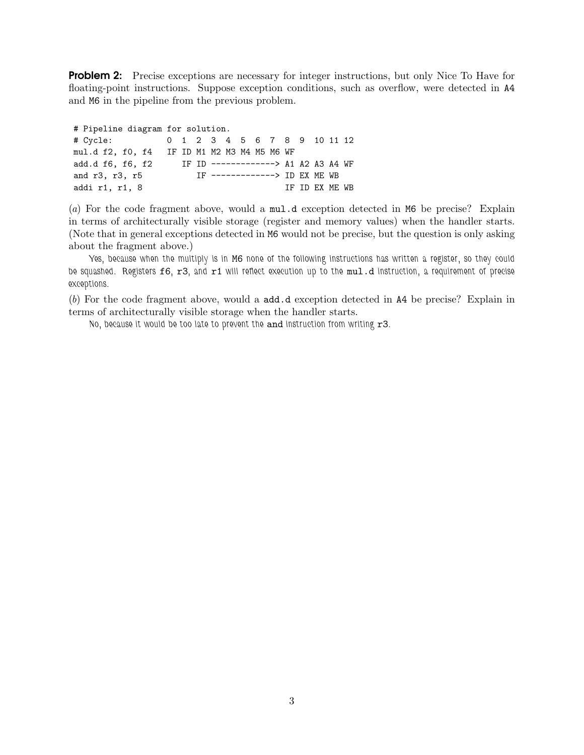**Problem 2:** Precise exceptions are necessary for integer instructions, but only Nice To Have for floating-point instructions. Suppose exception conditions, such as overflow, were detected in A4 and M6 in the pipeline from the previous problem.

| # Pipeline diagram for solution.            |  |  |  |                                |  |  |  |  |                                     |  |  |                |  |  |
|---------------------------------------------|--|--|--|--------------------------------|--|--|--|--|-------------------------------------|--|--|----------------|--|--|
| # Cycle:                                    |  |  |  |                                |  |  |  |  | 0 1 2 3 4 5 6 7 8 9 10 11 12        |  |  |                |  |  |
| mul.d f2, f0, f4 IF ID M1 M2 M3 M4 M5 M6 WF |  |  |  |                                |  |  |  |  |                                     |  |  |                |  |  |
| add.d f6, f6, f2                            |  |  |  |                                |  |  |  |  | IF ID -------------> A1 A2 A3 A4 WF |  |  |                |  |  |
| and r3, r3, r5                              |  |  |  | IF --------------> ID EX ME WB |  |  |  |  |                                     |  |  |                |  |  |
| addi r1, r1, 8                              |  |  |  |                                |  |  |  |  |                                     |  |  | IF ID EX ME WB |  |  |

(a) For the code fragment above, would a mul.d exception detected in M6 be precise? Explain in terms of architecturally visible storage (register and memory values) when the handler starts. (Note that in general exceptions detected in M6 would not be precise, but the question is only asking about the fragment above.)

Yes, because when the multiply is in M6 none of the following instructions has written a register, so they could be squashed. Registers f6, r3, and r1 will reflect execution up to the mul.d instruction, a requirement of precise exceptions.

(b) For the code fragment above, would a add.d exception detected in A4 be precise? Explain in terms of architecturally visible storage when the handler starts.

No, because it would be too late to prevent the and instruction from writing r3.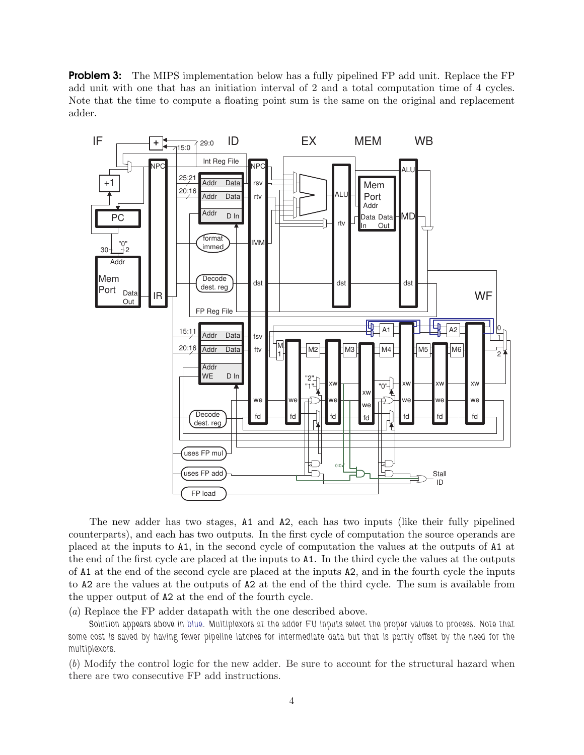**Problem 3:** The MIPS implementation below has a fully pipelined FP add unit. Replace the FP add unit with one that has an initiation interval of 2 and a total computation time of 4 cycles. Note that the time to compute a floating point sum is the same on the original and replacement adder.



The new adder has two stages, A1 and A2, each has two inputs (like their fully pipelined counterparts), and each has two outputs. In the first cycle of computation the source operands are placed at the inputs to A1, in the second cycle of computation the values at the outputs of A1 at the end of the first cycle are placed at the inputs to A1. In the third cycle the values at the outputs of A1 at the end of the second cycle are placed at the inputs A2, and in the fourth cycle the inputs to A2 are the values at the outputs of A2 at the end of the third cycle. The sum is available from the upper output of A2 at the end of the fourth cycle.

(a) Replace the FP adder datapath with the one described above.

Solution appears above in blue. Multiplexors at the adder FU inputs select the proper values to process. Note that some cost is saved by having fewer pipeline latches for intermediate data but that is partly offset by the need for the multiplexors.

(b) Modify the control logic for the new adder. Be sure to account for the structural hazard when there are two consecutive FP add instructions.